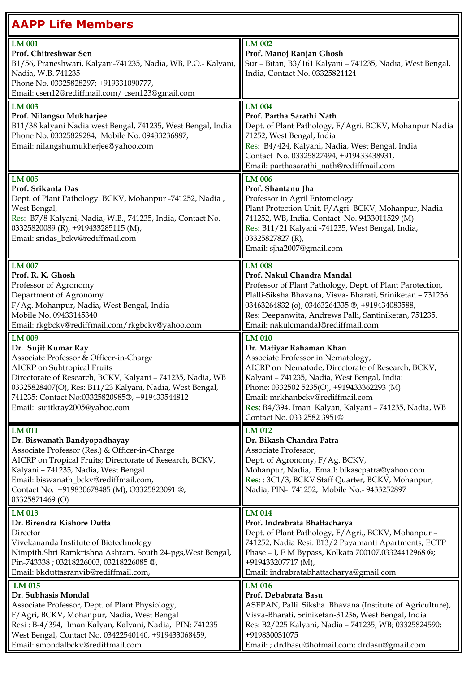| <b>AAPP Life Members</b>                                                                                                                                                                                                                                                                                              |                                                                                                                                                                                                                                                                                                                                                              |
|-----------------------------------------------------------------------------------------------------------------------------------------------------------------------------------------------------------------------------------------------------------------------------------------------------------------------|--------------------------------------------------------------------------------------------------------------------------------------------------------------------------------------------------------------------------------------------------------------------------------------------------------------------------------------------------------------|
| LM 001<br>Prof. Chitreshwar Sen<br>B1/56, Praneshwari, Kalyani-741235, Nadia, WB, P.O.- Kalyani,<br>Nadia, W.B. 741235<br>Phone No. 03325828297; +919331090777,<br>Email: csen12@rediffmail.com/ csen123@gmail.com                                                                                                    | LM 002<br>Prof. Manoj Ranjan Ghosh<br>Sur - Bitan, B3/161 Kalyani - 741235, Nadia, West Bengal,<br>India, Contact No. 03325824424                                                                                                                                                                                                                            |
| <b>LM 003</b><br>Prof. Nilangsu Mukharjee<br>B11/38 kalyani Nadia west Bengal, 741235, West Bengal, India<br>Phone No. 03325829284, Mobile No. 09433236887,<br>Email: nilangshumukherjee@yahoo.com                                                                                                                    | <b>LM 004</b><br>Prof. Partha Sarathi Nath<br>Dept. of Plant Pathology, F/Agri. BCKV, Mohanpur Nadia<br>71252, West Bengal, India<br>Res: B4/424, Kalyani, Nadia, West Bengal, India<br>Contact No. 03325827494, +919433438931,<br>Email: parthasarathi_nath@rediffmail.com                                                                                  |
| LM 005<br>Prof. Srikanta Das<br>Dept. of Plant Pathology. BCKV, Mohanpur -741252, Nadia,<br>West Bengal,<br>Res: B7/8 Kalyani, Nadia, W.B., 741235, India, Contact No.<br>03325820089 (R), +919433285115 (M),<br>Email: sridas_bckv@rediffmail.com                                                                    | <b>LM 006</b><br>Prof. Shantanu Jha<br>Professor in Agril Entomology<br>Plant Protection Unit, F/Agri. BCKV, Mohanpur, Nadia<br>741252, WB, India. Contact No. 9433011529 (M)<br>Res: B11/21 Kalyani -741235, West Bengal, India,<br>03325827827 (R),<br>Email: sjha2007@gmail.com                                                                           |
| LM 007<br>Prof. R. K. Ghosh<br>Professor of Agronomy<br>Department of Agronomy<br>F/Ag. Mohanpur, Nadia, West Bengal, India<br>Mobile No. 09433145340<br>Email: rkgbckv@rediffmail.com/rkgbckv@yahoo.com                                                                                                              | <b>LM 008</b><br>Prof. Nakul Chandra Mandal<br>Professor of Plant Pathology, Dept. of Plant Parotection,<br>Plalli-Siksha Bhavana, Visva-Bharati, Sriniketan - 731236<br>03463264832 (o); 03463264335 ®, +919434083588,<br>Res: Deepanwita, Andrews Palli, Santiniketan, 751235.<br>Email: nakulcmandal@rediffmail.com                                       |
| LM 009<br>Dr. Sujit Kumar Ray<br>Associate Professor & Officer-in-Charge<br>AICRP on Subtropical Fruits<br>Directorate of Research, BCKV, Kalyani - 741235, Nadia, WB<br>03325828407(O), Res: B11/23 Kalyani, Nadia, West Bengal,<br>741235: Contact No:03325820985®, +919433544812<br>Email: sujitkray2005@yahoo.com | <b>LM 010</b><br>Dr. Matiyar Rahaman Khan<br>Associate Professor in Nematology,<br>AICRP on Nematode, Directorate of Research, BCKV,<br>Kalyani - 741235, Nadia, West Bengal, India:<br>Phone: 0332502 5235(O), +919433362293 (M)<br>Email: mrkhanbckv@rediffmail.com<br>Res: B4/394, Iman Kalyan, Kalyani - 741235, Nadia, WB<br>Contact No. 033 2582 3951® |
| LM 011<br>Dr. Biswanath Bandyopadhayay<br>Associate Professor (Res.) & Officer-in-Charge<br>AICRP on Tropical Fruits; Directorate of Research, BCKV,<br>Kalyani - 741235, Nadia, West Bengal<br>Email: biswanath_bckv@rediffmail.com,<br>Contact No. +919830678485 (M), O3325823091 ®,<br>03325871469 (O)             | LM 012<br>Dr. Bikash Chandra Patra<br>Associate Professor,<br>Dept. of Agronomy, F/Ag. BCKV,<br>Mohanpur, Nadia, Email: bikascpatra@yahoo.com<br>Res:: 3C1/3, BCKV Staff Quarter, BCKV, Mohanpur,<br>Nadia, PIN- 741252; Mobile No.- 9433252897                                                                                                              |
| LM 013<br>Dr. Birendra Kishore Dutta<br>Director<br>Vivekananda Institute of Biotechnology<br>Nimpith.Shri Ramkrishna Ashram, South 24-pgs, West Bengal,<br>Pin-743338; 03218226003, 03218226085 ®,<br>Email: bkduttasranvib@rediffmail.com,                                                                          | <b>LM 014</b><br>Prof. Indrabrata Bhattacharya<br>Dept. of Plant Pathology, F/Agri., BCKV, Mohanpur -<br>741252, Nadia Resi: B13/2 Payamanti Apartments, ECTP<br>Phase - I, E M Bypass, Kolkata 700107,03324412968 ®;<br>+919433207717 (M),<br>Email: indrabratabhattacharya@gmail.com                                                                       |
| LM 015<br>Dr. Subhasis Mondal<br>Associate Professor, Dept. of Plant Physiology,<br>F/Agri, BCKV, Mohanpur, Nadia, West Bengal<br>Resi: B-4/394, Iman Kalyan, Kalyani, Nadia, PIN: 741235<br>West Bengal, Contact No. 03422540140, +919433068459,<br>Email: smondalbckv@rediffmail.com                                | LM 016<br>Prof. Debabrata Basu<br>ASEPAN, Palli Siksha Bhavana (Institute of Agriculture),<br>Visva-Bharati, Sriniketan-31236, West Bengal, India<br>Res: B2/225 Kalyani, Nadia - 741235, WB; 03325824590;<br>+919830031075<br>Email: ; drdbasu@hotmail.com; drdasu@gmail.com                                                                                |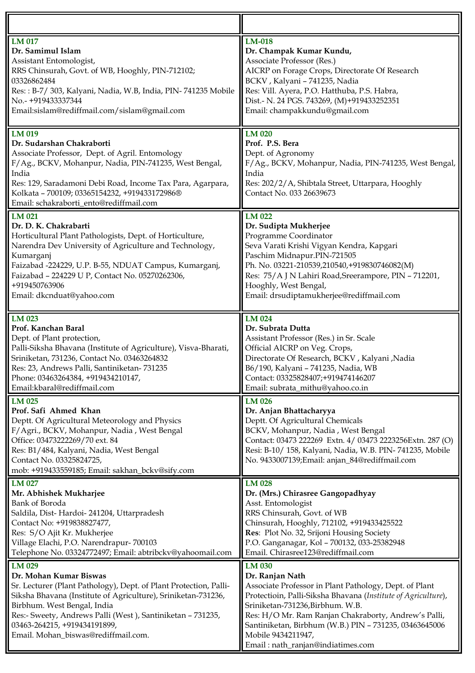| LM 017                                                                                                                                                                                                                                                                                                                                     | <b>LM-018</b>                                                                                                                                                                                                                                                                                                                                                                |
|--------------------------------------------------------------------------------------------------------------------------------------------------------------------------------------------------------------------------------------------------------------------------------------------------------------------------------------------|------------------------------------------------------------------------------------------------------------------------------------------------------------------------------------------------------------------------------------------------------------------------------------------------------------------------------------------------------------------------------|
| Dr. Samimul Islam                                                                                                                                                                                                                                                                                                                          | Dr. Champak Kumar Kundu,                                                                                                                                                                                                                                                                                                                                                     |
| Assistant Entomologist,                                                                                                                                                                                                                                                                                                                    | Associate Professor (Res.)                                                                                                                                                                                                                                                                                                                                                   |
| RRS Chinsurah, Govt. of WB, Hooghly, PIN-712102;                                                                                                                                                                                                                                                                                           | AICRP on Forage Crops, Directorate Of Research                                                                                                                                                                                                                                                                                                                               |
| 03326862484                                                                                                                                                                                                                                                                                                                                | BCKV, Kalyani - 741235, Nadia                                                                                                                                                                                                                                                                                                                                                |
| Res:: B-7/ 303, Kalyani, Nadia, W.B, India, PIN- 741235 Mobile                                                                                                                                                                                                                                                                             | Res: Vill. Ayera, P.O. Hatthuba, P.S. Habra,                                                                                                                                                                                                                                                                                                                                 |
| No.- +919433337344                                                                                                                                                                                                                                                                                                                         | Dist.- N. 24 PGS. 743269, (M)+919433252351                                                                                                                                                                                                                                                                                                                                   |
| Email:sislam@rediffmail.com/sislam@gmail.com                                                                                                                                                                                                                                                                                               | Email: champakkundu@gmail.com                                                                                                                                                                                                                                                                                                                                                |
| LM 019<br>Dr. Sudarshan Chakraborti<br>Associate Professor, Dept. of Agril. Entomology<br>F/Ag., BCKV, Mohanpur, Nadia, PIN-741235, West Bengal,<br>India<br>Res: 129, Saradamoni Debi Road, Income Tax Para, Agarpara,<br>Kolkata - 700109; 03365154232, +919433172986®<br>Email: schakraborti_ento@rediffmail.com                        | LM 020<br>Prof. P.S. Bera<br>Dept. of Agronomy<br>F/Ag., BCKV, Mohanpur, Nadia, PIN-741235, West Bengal,<br>India<br>Res: 202/2/A, Shibtala Street, Uttarpara, Hooghly<br>Contact No. 033 26639673                                                                                                                                                                           |
| LM 021                                                                                                                                                                                                                                                                                                                                     | LM 022                                                                                                                                                                                                                                                                                                                                                                       |
| Dr. D. K. Chakrabarti                                                                                                                                                                                                                                                                                                                      | Dr. Sudipta Mukherjee                                                                                                                                                                                                                                                                                                                                                        |
| Horticultural Plant Pathologists, Dept. of Horticulture,                                                                                                                                                                                                                                                                                   | Programme Coordinator                                                                                                                                                                                                                                                                                                                                                        |
| Narendra Dev University of Agriculture and Technology,                                                                                                                                                                                                                                                                                     | Seva Varati Krishi Vigyan Kendra, Kapgari                                                                                                                                                                                                                                                                                                                                    |
| Kumarganj                                                                                                                                                                                                                                                                                                                                  | Paschim Midnapur.PIN-721505                                                                                                                                                                                                                                                                                                                                                  |
| Faizabad -224229, U.P. B-55, NDUAT Campus, Kumarganj,                                                                                                                                                                                                                                                                                      | Ph. No. 03221-210539,210540,+919830746082(M)                                                                                                                                                                                                                                                                                                                                 |
| Faizabad - 224229 U P, Contact No. 05270262306,                                                                                                                                                                                                                                                                                            | Res: 75/A J N Lahiri Road, Sreerampore, PIN - 712201,                                                                                                                                                                                                                                                                                                                        |
| +919450763906                                                                                                                                                                                                                                                                                                                              | Hooghly, West Bengal,                                                                                                                                                                                                                                                                                                                                                        |
| Email: dkcnduat@yahoo.com                                                                                                                                                                                                                                                                                                                  | Email: drsudiptamukherjee@rediffmail.com                                                                                                                                                                                                                                                                                                                                     |
| LM 023                                                                                                                                                                                                                                                                                                                                     | LM 024                                                                                                                                                                                                                                                                                                                                                                       |
| Prof. Kanchan Baral                                                                                                                                                                                                                                                                                                                        | Dr. Subrata Dutta                                                                                                                                                                                                                                                                                                                                                            |
| Dept. of Plant protection,                                                                                                                                                                                                                                                                                                                 | Assistant Professor (Res.) in Sr. Scale                                                                                                                                                                                                                                                                                                                                      |
| Palli-Siksha Bhavana (Institute of Agriculture), Visva-Bharati,                                                                                                                                                                                                                                                                            | Official AICRP on Veg. Crops,                                                                                                                                                                                                                                                                                                                                                |
| Sriniketan, 731236, Contact No. 03463264832                                                                                                                                                                                                                                                                                                | Directorate Of Research, BCKV, Kalyani, Nadia                                                                                                                                                                                                                                                                                                                                |
| Res: 23, Andrews Palli, Santiniketan-731235                                                                                                                                                                                                                                                                                                | B6/190, Kalyani - 741235, Nadia, WB                                                                                                                                                                                                                                                                                                                                          |
| Phone: 03463264384, +919434210147,                                                                                                                                                                                                                                                                                                         | Contact: 03325828407;+919474146207                                                                                                                                                                                                                                                                                                                                           |
| Email:kbaral@rediffmail.com                                                                                                                                                                                                                                                                                                                | Email: subrata_mithu@yahoo.co.in                                                                                                                                                                                                                                                                                                                                             |
| LM 025<br>Prof. Safi Ahmed Khan<br>Deptt. Of Agricultural Meteorology and Physics<br>F/Agri., BCKV, Mohanpur, Nadia, West Bengal<br>Office: 03473222269/70 ext. 84<br>Res: B1/484, Kalyani, Nadia, West Bengal<br>Contact No. 03325824725,<br>mob: +919433559185; Email: sakhan_bckv@sify.com                                              | LM 026<br>Dr. Anjan Bhattacharyya<br>Deptt. Of Agricultural Chemicals<br>BCKV, Mohanpur, Nadia, West Bengal<br>Contact: 03473 222269 Extn. 4/ 03473 2223256Extn. 287 (O)<br>Resi: B-10/ 158, Kalyani, Nadia, W.B. PIN- 741235, Mobile<br>No. 9433007139;Email: anjan_84@rediffmail.com                                                                                       |
| LM 027                                                                                                                                                                                                                                                                                                                                     | LM 028                                                                                                                                                                                                                                                                                                                                                                       |
| Mr. Abhishek Mukharjee                                                                                                                                                                                                                                                                                                                     | Dr. (Mrs.) Chirasree Gangopadhyay                                                                                                                                                                                                                                                                                                                                            |
| Bank of Boroda                                                                                                                                                                                                                                                                                                                             | Asst. Entomologist                                                                                                                                                                                                                                                                                                                                                           |
| Saldila, Dist-Hardoi-241204, Uttarpradesh                                                                                                                                                                                                                                                                                                  | RRS Chinsurah, Govt. of WB                                                                                                                                                                                                                                                                                                                                                   |
| Contact No: +919838827477,                                                                                                                                                                                                                                                                                                                 | Chinsurah, Hooghly, 712102, +919433425522                                                                                                                                                                                                                                                                                                                                    |
| Res: S/O Ajit Kr. Mukherjee                                                                                                                                                                                                                                                                                                                | Res: Plot No. 32, Srijoni Housing Society                                                                                                                                                                                                                                                                                                                                    |
| Village Elachi, P.O. Narendrapur- 700103                                                                                                                                                                                                                                                                                                   | P.O. Ganganagar, Kol - 700132, 033-25382948                                                                                                                                                                                                                                                                                                                                  |
| Telephone No. 03324772497; Email: abtribckv@yahoomail.com                                                                                                                                                                                                                                                                                  | Email. Chirasree123@rediffmail.com                                                                                                                                                                                                                                                                                                                                           |
| LM 029<br>Dr. Mohan Kumar Biswas<br>Sr. Lecturer (Plant Pathology), Dept. of Plant Protection, Palli-<br>Siksha Bhavana (Institute of Agriculture), Sriniketan-731236,<br>Birbhum. West Bengal, India<br>Res:- Sweety, Andrews Palli (West), Santiniketan - 731235,<br>03463-264215, +919434191899,<br>Email. Mohan_biswas@rediffmail.com. | <b>LM 030</b><br>Dr. Ranjan Nath<br>Associate Professor in Plant Pathology, Dept. of Plant<br>Protectioin, Palli-Siksha Bhavana (Institute of Agriculture),<br>Sriniketan-731236, Birbhum. W.B.<br>Res: H/O Mr. Ram Ranjan Chakraborty, Andrew's Palli,<br>Santiniketan, Birbhum (W.B.) PIN - 731235, 03463645006<br>Mobile 9434211947,<br>Email: nath_ranjan@indiatimes.com |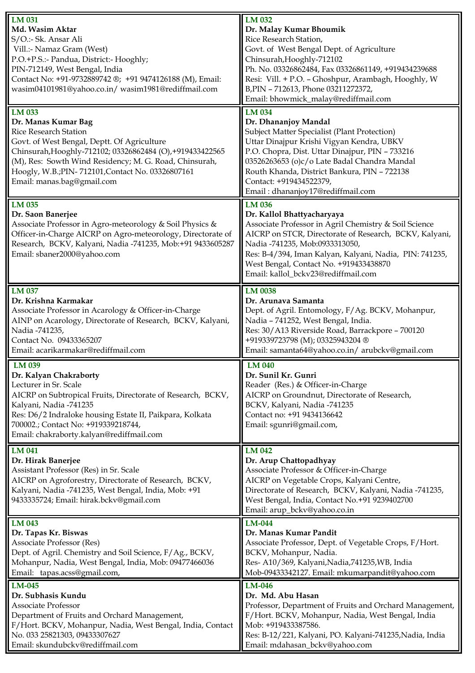| LM 031                                                                                | LM 032                                                                                            |
|---------------------------------------------------------------------------------------|---------------------------------------------------------------------------------------------------|
| Md. Wasim Aktar                                                                       | Dr. Malay Kumar Bhoumik                                                                           |
| S/O.:- Sk. Ansar Ali                                                                  | Rice Research Station,                                                                            |
| Vill.:- Namaz Gram (West)                                                             | Govt. of West Bengal Dept. of Agriculture                                                         |
| P.O.+P.S.:- Pandua, District:- Hooghly;                                               | Chinsurah, Hooghly-712102                                                                         |
| PIN-712149, West Bengal, India                                                        | Ph. No. 03326862484, Fax 03326861149, +919434239688                                               |
|                                                                                       |                                                                                                   |
| Contact No: +91-9732889742 ®; +91 9474126188 (M), Email:                              | Resi: Vill. + P.O. - Ghoshpur, Arambagh, Hooghly, W                                               |
| wasim04101981@yahoo.co.in/ wasim1981@rediffmail.com                                   | B, PIN - 712613, Phone 03211272372,                                                               |
|                                                                                       | Email: bhowmick_malay@rediffmail.com                                                              |
| LM 033                                                                                | <b>LM 034</b>                                                                                     |
| Dr. Manas Kumar Bag                                                                   | Dr. Dhananjoy Mandal                                                                              |
| <b>Rice Research Station</b>                                                          | <b>Subject Matter Specialist (Plant Protection)</b>                                               |
| Govt. of West Bengal, Deptt. Of Agriculture                                           | Uttar Dinajpur Krishi Vigyan Kendra, UBKV                                                         |
| Chinsurah, Hooghly-712102; 03326862484 (O), +919433422565                             | P.O. Chopra, Dist. Uttar Dinajpur, PIN - 733216                                                   |
| (M), Res: Sowth Wind Residency; M. G. Road, Chinsurah,                                | 03526263653 (o)c/o Late Badal Chandra Mandal                                                      |
| Hoogly, W.B.; PIN-712101, Contact No. 03326807161                                     | Routh Khanda, District Bankura, PIN - 722138                                                      |
|                                                                                       |                                                                                                   |
| Email: manas.bag@gmail.com                                                            | Contact: +919434522379,                                                                           |
|                                                                                       | Email: dhananjoy17@rediffmail.com                                                                 |
| $LM$ 035                                                                              | <b>LM 036</b>                                                                                     |
| Dr. Saon Banerjee                                                                     | Dr. Kallol Bhattyacharyaya                                                                        |
| Associate Professor in Agro-meteorology & Soil Physics &                              | Associate Professor in Agril Chemistry & Soil Science                                             |
| Officer-in-Charge AICRP on Agro-meteorology, Directorate of                           | AICRP on STCR, Directorate of Research, BCKV, Kalyani,                                            |
| Research, BCKV, Kalyani, Nadia -741235, Mob:+91 9433605287                            | Nadia -741235, Mob:0933313050,                                                                    |
| Email: sbaner2000@yahoo.com                                                           | Res: B-4/394, Iman Kalyan, Kalyani, Nadia, PIN: 741235,                                           |
|                                                                                       |                                                                                                   |
|                                                                                       | West Bengal, Contact No. +919433438870                                                            |
|                                                                                       | Email: kallol_bckv23@rediffmail.com                                                               |
| LM 037                                                                                | <b>LM 0038</b>                                                                                    |
| Dr. Krishna Karmakar                                                                  | Dr. Arunava Samanta                                                                               |
| Associate Professor in Acarology & Officer-in-Charge                                  | Dept. of Agril. Entomology, F/Ag. BCKV, Mohanpur,                                                 |
| AINP on Acarology, Directorate of Research, BCKV, Kalyani,                            |                                                                                                   |
|                                                                                       | Nadia - 741252, West Bengal, India.                                                               |
| Nadia -741235,                                                                        | Res: 30/A13 Riverside Road, Barrackpore - 700120                                                  |
| Contact No. 09433365207                                                               | +919339723798 (M); 03325943204 ®                                                                  |
| Email: acarikarmakar@rediffmail.com                                                   | Email: samanta64@yahoo.co.in/ arubckv@gmail.com                                                   |
| LM 039                                                                                | LM 040                                                                                            |
| Dr. Kalyan Chakraborty                                                                | Dr. Sunil Kr. Gunri                                                                               |
| Lecturer in Sr. Scale                                                                 | Reader (Res.) & Officer-in-Charge                                                                 |
|                                                                                       |                                                                                                   |
|                                                                                       |                                                                                                   |
| AICRP on Subtropical Fruits, Directorate of Research, BCKV,                           | AICRP on Groundnut, Directorate of Research,                                                      |
| Kalyani, Nadia -741235                                                                | BCKV, Kalyani, Nadia -741235                                                                      |
| Res: D6/2 Indraloke housing Estate II, Paikpara, Kolkata                              | Contact no: +91 9434136642                                                                        |
| 700002.; Contact No: +919339218744,                                                   | Email: sgunri@gmail.com,                                                                          |
| Email: chakraborty.kalyan@rediffmail.com                                              |                                                                                                   |
| LM 041                                                                                | LM 042                                                                                            |
|                                                                                       |                                                                                                   |
| Dr. Hirak Banerjee                                                                    | Dr. Arup Chattopadhyay                                                                            |
| Assistant Professor (Res) in Sr. Scale                                                | Associate Professor & Officer-in-Charge                                                           |
| AICRP on Agroforestry, Directorate of Research, BCKV,                                 | AICRP on Vegetable Crops, Kalyani Centre,                                                         |
| Kalyani, Nadia -741235, West Bengal, India, Mob: +91                                  | Directorate of Research, BCKV, Kalyani, Nadia -741235,                                            |
| 9433335724; Email: hirak.bckv@gmail.com                                               | West Bengal, India, Contact No.+91 9239402700                                                     |
|                                                                                       | Email: arup_bckv@yahoo.co.in                                                                      |
| LM 043                                                                                | LM-044                                                                                            |
| Dr. Tapas Kr. Biswas                                                                  | Dr. Manas Kumar Pandit                                                                            |
| Associate Professor (Res)                                                             | Associate Professor, Dept. of Vegetable Crops, F/Hort.                                            |
| Dept. of Agril. Chemistry and Soil Science, F/Ag., BCKV,                              | BCKV, Mohanpur, Nadia.                                                                            |
|                                                                                       |                                                                                                   |
| Mohanpur, Nadia, West Bengal, India, Mob: 09477466036<br>Email: tapas.acss@gmail.com, | Res- A10/369, Kalyani, Nadia, 741235, WB, India<br>Mob-09433342127. Email: mkumarpandit@yahoo.com |
|                                                                                       |                                                                                                   |
| LM-045                                                                                | <b>LM-046</b>                                                                                     |
| Dr. Subhasis Kundu                                                                    | Dr. Md. Abu Hasan                                                                                 |
| Associate Professor                                                                   | Professor, Department of Fruits and Orchard Management,                                           |
| Department of Fruits and Orchard Management,                                          | F/Hort. BCKV, Mohanpur, Nadia, West Bengal, India                                                 |
| F/Hort. BCKV, Mohanpur, Nadia, West Bengal, India, Contact                            | Mob: +919433387586.                                                                               |
| No. 033 25821303, 09433307627<br>Email: skundubckv@rediffmail.com                     | Res: B-12/221, Kalyani, PO. Kalyani-741235, Nadia, India<br>Email: mdahasan_bckv@yahoo.com        |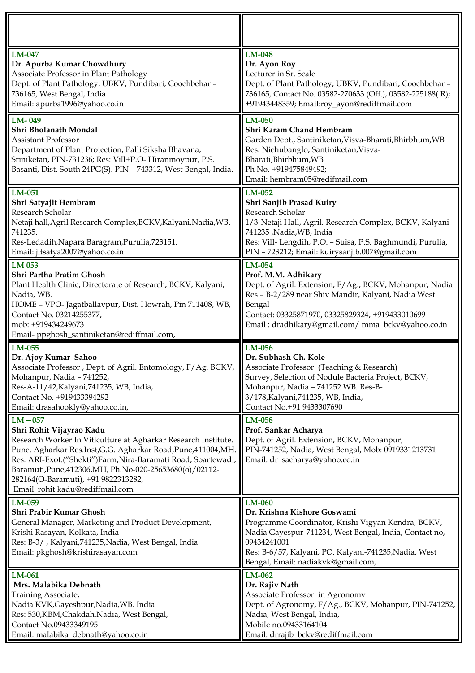| LM-047<br>Dr. Apurba Kumar Chowdhury<br>Associate Professor in Plant Pathology<br>Dept. of Plant Pathology, UBKV, Pundibari, Coochbehar -<br>736165, West Bengal, India<br>Email: apurba1996@yahoo.co.in                                                                                                                                                                           | <b>LM-048</b><br>Dr. Ayon Roy<br>Lecturer in Sr. Scale<br>Dept. of Plant Pathology, UBKV, Pundibari, Coochbehar -<br>736165, Contact No. 03582-270633 (Off.), 03582-225188(R);<br>+91943448359; Email:roy_ayon@rediffmail.com                                       |
|------------------------------------------------------------------------------------------------------------------------------------------------------------------------------------------------------------------------------------------------------------------------------------------------------------------------------------------------------------------------------------|---------------------------------------------------------------------------------------------------------------------------------------------------------------------------------------------------------------------------------------------------------------------|
| LM-049<br>Shri Bholanath Mondal<br><b>Assistant Professor</b><br>Department of Plant Protection, Palli Siksha Bhavana,<br>Sriniketan, PIN-731236; Res: Vill+P.O- Hiranmoypur, P.S.<br>Basanti, Dist. South 24PG(S). PIN - 743312, West Bengal, India.                                                                                                                              | LM-050<br>Shri Karam Chand Hembram<br>Garden Dept., Santiniketan, Visva-Bharati, Bhirbhum, WB<br>Res: Nichubanglo, Santiniketan, Visva-<br>Bharati, Bhirbhum, WB<br>Ph No. +919475849492;<br>Email: hembram05@redifmail.com                                         |
| LM-051<br>Shri Satyajit Hembram<br>Research Scholar<br>Netaji hall, Agril Research Complex, BCKV, Kalyani, Nadia, WB.<br>741235.<br>Res-Ledadih, Napara Baragram, Purulia, 723151.<br>Email: jitsatya2007@yahoo.co.in                                                                                                                                                              | $LM-052$<br>Shri Sanjib Prasad Kuiry<br>Research Scholar<br>1/3-Netaji Hall, Agril. Research Complex, BCKV, Kalyani-<br>741235 ,Nadia,WB, India<br>Res: Vill- Lengdih, P.O. - Suisa, P.S. Baghmundi, Purulia,<br>PIN - 723212; Email: kuirysanjib.007@gmail.com     |
| LM 053<br>Shri Partha Pratim Ghosh<br>Plant Health Clinic, Directorate of Research, BCKV, Kalyani,<br>Nadia, WB.<br>HOME - VPO- Jagatballavpur, Dist. Howrah, Pin 711408, WB,<br>Contact No. 03214255377,<br>mob: +919434249673<br>Email-ppghosh_santiniketan@rediffmail.com,                                                                                                      | LM-054<br>Prof. M.M. Adhikary<br>Dept. of Agril. Extension, F/Ag., BCKV, Mohanpur, Nadia<br>Res - B-2/289 near Shiv Mandir, Kalyani, Nadia West<br>Bengal<br>Contact: 03325871970, 03325829324, +919433010699<br>Email: dradhikary@gmail.com/ mma_bckv@yahoo.co.in  |
| LM-055<br>Dr. Ajoy Kumar Sahoo<br>Associate Professor, Dept. of Agril. Entomology, F/Ag. BCKV,<br>Mohanpur, Nadia - 741252,<br>Res-A-11/42, Kalyani, 741235, WB, India,<br>Contact No. +919433394292<br>Email: drasahookly@yahoo.co.in,                                                                                                                                            | LM-056<br>Dr. Subhash Ch. Kole<br>Associate Professor (Teaching & Research)<br>Survey, Selection of Nodule Bacteria Project, BCKV,<br>Mohanpur, Nadia - 741252 WB. Res-B-<br>3/178, Kalyani, 741235, WB, India,<br>Contact No.+91 9433307690                        |
| $LM-057$<br>Shri Rohit Vijayrao Kadu<br>Research Worker In Viticulture at Agharkar Research Institute.<br>Pune. Agharkar Res.Inst, G.G. Agharkar Road, Pune, 411004, MH.<br>Res: ARI-Exot.("Shekti")Farm,Nira-Baramati Road, Soartewadi,<br>Baramuti, Pune, 412306, MH, Ph. No-020-25653680(o) / 02112-<br>282164(O-Baramuti), +91 9822313282,<br>Email: rohit.kadu@rediffmail.com | <b>LM-058</b><br>Prof. Sankar Acharya<br>Dept. of Agril. Extension, BCKV, Mohanpur,<br>PIN-741252, Nadia, West Bengal, Mob: 0919331213731<br>Email: dr_sacharya@yahoo.co.in                                                                                         |
| LM-059<br>Shri Prabir Kumar Ghosh<br>General Manager, Marketing and Product Development,<br>Krishi Rasayan, Kolkata, India<br>Res: B-3/, Kalyani, 741235, Nadia, West Bengal, India<br>Email: pkghosh@krishirasayan.com                                                                                                                                                            | LM-060<br>Dr. Krishna Kishore Goswami<br>Programme Coordinator, Krishi Vigyan Kendra, BCKV,<br>Nadia Gayespur-741234, West Bengal, India, Contact no,<br>09434241001<br>Res: B-6/57, Kalyani, PO. Kalyani-741235, Nadia, West<br>Bengal, Email: nadiakvk@gmail.com, |
| LM-061<br>Mrs. Malabika Debnath<br>Training Associate,<br>Nadia KVK, Gayeshpur, Nadia, WB. India<br>Res: 530, KBM, Chakdah, Nadia, West Bengal,<br>Contact No.09433349195<br>Email: malabika_debnath@yahoo.co.in                                                                                                                                                                   | $LM-062$<br>Dr. Rajiv Nath<br>Associate Professor in Agronomy<br>Dept. of Agronomy, F/Ag., BCKV, Mohanpur, PIN-741252,<br>Nadia, West Bengal, India,<br>Mobile no.09433164104<br>Email: drrajib_bckv@rediffmail.com                                                 |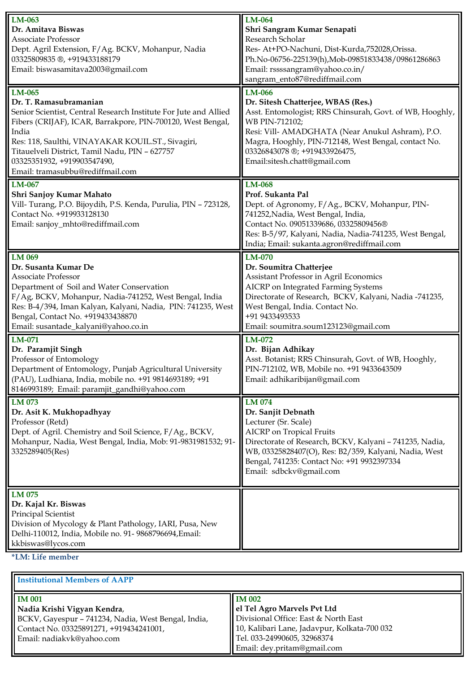| LM-063<br><b>LM-064</b><br>Dr. Amitava Biswas<br>Shri Sangram Kumar Senapati<br>Research Scholar<br><b>Associate Professor</b><br>Res- At+PO-Nachuni, Dist-Kurda,752028,Orissa.<br>Dept. Agril Extension, F/Ag. BCKV, Mohanpur, Nadia<br>03325809835 ®, +919433188179<br>Ph.No-06756-225139(h), Mob-09851833438/09861286863<br>Email: biswasamitava2003@gmail.com<br>Email: rssssangram@yahoo.co.in/<br>sangram_ento87@rediffmail.com<br>LM-065<br>LM-066<br>Dr. T. Ramasubramanian<br>Dr. Sitesh Chatterjee, WBAS (Res.)<br>Senior Scientist, Central Research Institute For Jute and Allied<br>Asst. Entomologist; RRS Chinsurah, Govt. of WB, Hooghly,<br>Fibers (CRIJAF), ICAR, Barrakpore, PIN-700120, West Bengal,<br>WB PIN-712102;<br>Resi: Vill- AMADGHATA (Near Anukul Ashram), P.O.<br>India<br>Magra, Hooghly, PIN-712148, West Bengal, contact No.<br>Res: 118, Saulthi, VINAYAKAR KOUIL.ST., Sivagiri,<br>Titauelveli District, Tamil Nadu, PIN - 627757<br>03326843078 ®; +919433926475,<br>03325351932, +919903547490,<br>Email:sitesh.chatt@gmail.com<br>Email: tramasubbu@rediffmail.com<br><b>LM-068</b><br>LM-067<br>Prof. Sukanta Pal<br>Shri Sanjoy Kumar Mahato<br>Vill-Turang, P.O. Bijoydih, P.S. Kenda, Purulia, PIN - 723128,<br>Dept. of Agronomy, F/Ag., BCKV, Mohanpur, PIN-<br>Contact No. +919933128130<br>741252, Nadia, West Bengal, India,<br>Contact No. 09051339686, 03325809456®<br>Email: sanjoy_mhto@rediffmail.com<br>Res: B-5/97, Kalyani, Nadia, Nadia-741235, West Bengal,<br>India; Email: sukanta.agron@rediffmail.com<br>LM 069<br>LM-070<br>Dr. Susanta Kumar De<br>Dr. Soumitra Chatterjee<br>Assistant Professor in Agril Economics<br><b>Associate Professor</b><br>AICRP on Integrated Farming Systems<br>Department of Soil and Water Conservation<br>F/Ag, BCKV, Mohanpur, Nadia-741252, West Bengal, India<br>Directorate of Research, BCKV, Kalyani, Nadia -741235,<br>Res: B-4/394, Iman Kalyan, Kalyani, Nadia, PIN: 741235, West<br>West Bengal, India. Contact No.<br>+91 9433493533<br>Bengal, Contact No. +919433438870<br>Email: susantade_kalyani@yahoo.co.in<br>Email: soumitra.soum123123@gmail.com<br>LM-072<br>LM-071<br>Dr. Paramjit Singh<br>Dr. Bijan Adhikay<br>Professor of Entomology<br>Asst. Botanist; RRS Chinsurah, Govt. of WB, Hooghly,<br>Department of Entomology, Punjab Agricultural University<br>PIN-712102, WB, Mobile no. +91 9433643509<br>(PAU), Ludhiana, India, mobile no. +91 9814693189; +91<br>Email: adhikaribijan@gmail.com<br>8146993189; Email: paramjit_gandhi@yahoo.com<br>LM 074<br>LM 073<br>Dr. Asit K. Mukhopadhyay<br>Dr. Sanjit Debnath<br>Lecturer (Sr. Scale)<br>Professor (Retd)<br>Dept. of Agril. Chemistry and Soil Science, F/Ag., BCKV,<br>AICRP on Tropical Fruits<br>Mohanpur, Nadia, West Bengal, India, Mob: 91-9831981532; 91-<br>Directorate of Research, BCKV, Kalyani - 741235, Nadia,<br>3325289405(Res)<br>WB, 03325828407(O), Res: B2/359, Kalyani, Nadia, West<br>Bengal, 741235: Contact No: +91 9932397334<br>Email: sdbckv@gmail.com<br>LM 075<br>Dr. Kajal Kr. Biswas<br>Principal Scientist<br>Division of Mycology & Plant Pathology, IARI, Pusa, New<br>Delhi-110012, India, Mobile no. 91- 9868796694, Email:<br>kkbiswas@lycos.com |                  |  |
|----------------------------------------------------------------------------------------------------------------------------------------------------------------------------------------------------------------------------------------------------------------------------------------------------------------------------------------------------------------------------------------------------------------------------------------------------------------------------------------------------------------------------------------------------------------------------------------------------------------------------------------------------------------------------------------------------------------------------------------------------------------------------------------------------------------------------------------------------------------------------------------------------------------------------------------------------------------------------------------------------------------------------------------------------------------------------------------------------------------------------------------------------------------------------------------------------------------------------------------------------------------------------------------------------------------------------------------------------------------------------------------------------------------------------------------------------------------------------------------------------------------------------------------------------------------------------------------------------------------------------------------------------------------------------------------------------------------------------------------------------------------------------------------------------------------------------------------------------------------------------------------------------------------------------------------------------------------------------------------------------------------------------------------------------------------------------------------------------------------------------------------------------------------------------------------------------------------------------------------------------------------------------------------------------------------------------------------------------------------------------------------------------------------------------------------------------------------------------------------------------------------------------------------------------------------------------------------------------------------------------------------------------------------------------------------------------------------------------------------------------------------------------------------------------------------------------------------------------------------------------------------------------------------------------------------------------------------------------------------------------------------------------------------------------------------------------------------------------------------------------------------------------------------------------------------------------------------------------------------------------------------------------|------------------|--|
|                                                                                                                                                                                                                                                                                                                                                                                                                                                                                                                                                                                                                                                                                                                                                                                                                                                                                                                                                                                                                                                                                                                                                                                                                                                                                                                                                                                                                                                                                                                                                                                                                                                                                                                                                                                                                                                                                                                                                                                                                                                                                                                                                                                                                                                                                                                                                                                                                                                                                                                                                                                                                                                                                                                                                                                                                                                                                                                                                                                                                                                                                                                                                                                                                                                                            |                  |  |
|                                                                                                                                                                                                                                                                                                                                                                                                                                                                                                                                                                                                                                                                                                                                                                                                                                                                                                                                                                                                                                                                                                                                                                                                                                                                                                                                                                                                                                                                                                                                                                                                                                                                                                                                                                                                                                                                                                                                                                                                                                                                                                                                                                                                                                                                                                                                                                                                                                                                                                                                                                                                                                                                                                                                                                                                                                                                                                                                                                                                                                                                                                                                                                                                                                                                            |                  |  |
|                                                                                                                                                                                                                                                                                                                                                                                                                                                                                                                                                                                                                                                                                                                                                                                                                                                                                                                                                                                                                                                                                                                                                                                                                                                                                                                                                                                                                                                                                                                                                                                                                                                                                                                                                                                                                                                                                                                                                                                                                                                                                                                                                                                                                                                                                                                                                                                                                                                                                                                                                                                                                                                                                                                                                                                                                                                                                                                                                                                                                                                                                                                                                                                                                                                                            |                  |  |
|                                                                                                                                                                                                                                                                                                                                                                                                                                                                                                                                                                                                                                                                                                                                                                                                                                                                                                                                                                                                                                                                                                                                                                                                                                                                                                                                                                                                                                                                                                                                                                                                                                                                                                                                                                                                                                                                                                                                                                                                                                                                                                                                                                                                                                                                                                                                                                                                                                                                                                                                                                                                                                                                                                                                                                                                                                                                                                                                                                                                                                                                                                                                                                                                                                                                            |                  |  |
|                                                                                                                                                                                                                                                                                                                                                                                                                                                                                                                                                                                                                                                                                                                                                                                                                                                                                                                                                                                                                                                                                                                                                                                                                                                                                                                                                                                                                                                                                                                                                                                                                                                                                                                                                                                                                                                                                                                                                                                                                                                                                                                                                                                                                                                                                                                                                                                                                                                                                                                                                                                                                                                                                                                                                                                                                                                                                                                                                                                                                                                                                                                                                                                                                                                                            |                  |  |
|                                                                                                                                                                                                                                                                                                                                                                                                                                                                                                                                                                                                                                                                                                                                                                                                                                                                                                                                                                                                                                                                                                                                                                                                                                                                                                                                                                                                                                                                                                                                                                                                                                                                                                                                                                                                                                                                                                                                                                                                                                                                                                                                                                                                                                                                                                                                                                                                                                                                                                                                                                                                                                                                                                                                                                                                                                                                                                                                                                                                                                                                                                                                                                                                                                                                            |                  |  |
|                                                                                                                                                                                                                                                                                                                                                                                                                                                                                                                                                                                                                                                                                                                                                                                                                                                                                                                                                                                                                                                                                                                                                                                                                                                                                                                                                                                                                                                                                                                                                                                                                                                                                                                                                                                                                                                                                                                                                                                                                                                                                                                                                                                                                                                                                                                                                                                                                                                                                                                                                                                                                                                                                                                                                                                                                                                                                                                                                                                                                                                                                                                                                                                                                                                                            |                  |  |
|                                                                                                                                                                                                                                                                                                                                                                                                                                                                                                                                                                                                                                                                                                                                                                                                                                                                                                                                                                                                                                                                                                                                                                                                                                                                                                                                                                                                                                                                                                                                                                                                                                                                                                                                                                                                                                                                                                                                                                                                                                                                                                                                                                                                                                                                                                                                                                                                                                                                                                                                                                                                                                                                                                                                                                                                                                                                                                                                                                                                                                                                                                                                                                                                                                                                            |                  |  |
|                                                                                                                                                                                                                                                                                                                                                                                                                                                                                                                                                                                                                                                                                                                                                                                                                                                                                                                                                                                                                                                                                                                                                                                                                                                                                                                                                                                                                                                                                                                                                                                                                                                                                                                                                                                                                                                                                                                                                                                                                                                                                                                                                                                                                                                                                                                                                                                                                                                                                                                                                                                                                                                                                                                                                                                                                                                                                                                                                                                                                                                                                                                                                                                                                                                                            |                  |  |
|                                                                                                                                                                                                                                                                                                                                                                                                                                                                                                                                                                                                                                                                                                                                                                                                                                                                                                                                                                                                                                                                                                                                                                                                                                                                                                                                                                                                                                                                                                                                                                                                                                                                                                                                                                                                                                                                                                                                                                                                                                                                                                                                                                                                                                                                                                                                                                                                                                                                                                                                                                                                                                                                                                                                                                                                                                                                                                                                                                                                                                                                                                                                                                                                                                                                            |                  |  |
|                                                                                                                                                                                                                                                                                                                                                                                                                                                                                                                                                                                                                                                                                                                                                                                                                                                                                                                                                                                                                                                                                                                                                                                                                                                                                                                                                                                                                                                                                                                                                                                                                                                                                                                                                                                                                                                                                                                                                                                                                                                                                                                                                                                                                                                                                                                                                                                                                                                                                                                                                                                                                                                                                                                                                                                                                                                                                                                                                                                                                                                                                                                                                                                                                                                                            |                  |  |
|                                                                                                                                                                                                                                                                                                                                                                                                                                                                                                                                                                                                                                                                                                                                                                                                                                                                                                                                                                                                                                                                                                                                                                                                                                                                                                                                                                                                                                                                                                                                                                                                                                                                                                                                                                                                                                                                                                                                                                                                                                                                                                                                                                                                                                                                                                                                                                                                                                                                                                                                                                                                                                                                                                                                                                                                                                                                                                                                                                                                                                                                                                                                                                                                                                                                            |                  |  |
|                                                                                                                                                                                                                                                                                                                                                                                                                                                                                                                                                                                                                                                                                                                                                                                                                                                                                                                                                                                                                                                                                                                                                                                                                                                                                                                                                                                                                                                                                                                                                                                                                                                                                                                                                                                                                                                                                                                                                                                                                                                                                                                                                                                                                                                                                                                                                                                                                                                                                                                                                                                                                                                                                                                                                                                                                                                                                                                                                                                                                                                                                                                                                                                                                                                                            |                  |  |
|                                                                                                                                                                                                                                                                                                                                                                                                                                                                                                                                                                                                                                                                                                                                                                                                                                                                                                                                                                                                                                                                                                                                                                                                                                                                                                                                                                                                                                                                                                                                                                                                                                                                                                                                                                                                                                                                                                                                                                                                                                                                                                                                                                                                                                                                                                                                                                                                                                                                                                                                                                                                                                                                                                                                                                                                                                                                                                                                                                                                                                                                                                                                                                                                                                                                            |                  |  |
|                                                                                                                                                                                                                                                                                                                                                                                                                                                                                                                                                                                                                                                                                                                                                                                                                                                                                                                                                                                                                                                                                                                                                                                                                                                                                                                                                                                                                                                                                                                                                                                                                                                                                                                                                                                                                                                                                                                                                                                                                                                                                                                                                                                                                                                                                                                                                                                                                                                                                                                                                                                                                                                                                                                                                                                                                                                                                                                                                                                                                                                                                                                                                                                                                                                                            |                  |  |
|                                                                                                                                                                                                                                                                                                                                                                                                                                                                                                                                                                                                                                                                                                                                                                                                                                                                                                                                                                                                                                                                                                                                                                                                                                                                                                                                                                                                                                                                                                                                                                                                                                                                                                                                                                                                                                                                                                                                                                                                                                                                                                                                                                                                                                                                                                                                                                                                                                                                                                                                                                                                                                                                                                                                                                                                                                                                                                                                                                                                                                                                                                                                                                                                                                                                            |                  |  |
|                                                                                                                                                                                                                                                                                                                                                                                                                                                                                                                                                                                                                                                                                                                                                                                                                                                                                                                                                                                                                                                                                                                                                                                                                                                                                                                                                                                                                                                                                                                                                                                                                                                                                                                                                                                                                                                                                                                                                                                                                                                                                                                                                                                                                                                                                                                                                                                                                                                                                                                                                                                                                                                                                                                                                                                                                                                                                                                                                                                                                                                                                                                                                                                                                                                                            |                  |  |
|                                                                                                                                                                                                                                                                                                                                                                                                                                                                                                                                                                                                                                                                                                                                                                                                                                                                                                                                                                                                                                                                                                                                                                                                                                                                                                                                                                                                                                                                                                                                                                                                                                                                                                                                                                                                                                                                                                                                                                                                                                                                                                                                                                                                                                                                                                                                                                                                                                                                                                                                                                                                                                                                                                                                                                                                                                                                                                                                                                                                                                                                                                                                                                                                                                                                            |                  |  |
|                                                                                                                                                                                                                                                                                                                                                                                                                                                                                                                                                                                                                                                                                                                                                                                                                                                                                                                                                                                                                                                                                                                                                                                                                                                                                                                                                                                                                                                                                                                                                                                                                                                                                                                                                                                                                                                                                                                                                                                                                                                                                                                                                                                                                                                                                                                                                                                                                                                                                                                                                                                                                                                                                                                                                                                                                                                                                                                                                                                                                                                                                                                                                                                                                                                                            |                  |  |
|                                                                                                                                                                                                                                                                                                                                                                                                                                                                                                                                                                                                                                                                                                                                                                                                                                                                                                                                                                                                                                                                                                                                                                                                                                                                                                                                                                                                                                                                                                                                                                                                                                                                                                                                                                                                                                                                                                                                                                                                                                                                                                                                                                                                                                                                                                                                                                                                                                                                                                                                                                                                                                                                                                                                                                                                                                                                                                                                                                                                                                                                                                                                                                                                                                                                            |                  |  |
|                                                                                                                                                                                                                                                                                                                                                                                                                                                                                                                                                                                                                                                                                                                                                                                                                                                                                                                                                                                                                                                                                                                                                                                                                                                                                                                                                                                                                                                                                                                                                                                                                                                                                                                                                                                                                                                                                                                                                                                                                                                                                                                                                                                                                                                                                                                                                                                                                                                                                                                                                                                                                                                                                                                                                                                                                                                                                                                                                                                                                                                                                                                                                                                                                                                                            |                  |  |
|                                                                                                                                                                                                                                                                                                                                                                                                                                                                                                                                                                                                                                                                                                                                                                                                                                                                                                                                                                                                                                                                                                                                                                                                                                                                                                                                                                                                                                                                                                                                                                                                                                                                                                                                                                                                                                                                                                                                                                                                                                                                                                                                                                                                                                                                                                                                                                                                                                                                                                                                                                                                                                                                                                                                                                                                                                                                                                                                                                                                                                                                                                                                                                                                                                                                            |                  |  |
|                                                                                                                                                                                                                                                                                                                                                                                                                                                                                                                                                                                                                                                                                                                                                                                                                                                                                                                                                                                                                                                                                                                                                                                                                                                                                                                                                                                                                                                                                                                                                                                                                                                                                                                                                                                                                                                                                                                                                                                                                                                                                                                                                                                                                                                                                                                                                                                                                                                                                                                                                                                                                                                                                                                                                                                                                                                                                                                                                                                                                                                                                                                                                                                                                                                                            |                  |  |
|                                                                                                                                                                                                                                                                                                                                                                                                                                                                                                                                                                                                                                                                                                                                                                                                                                                                                                                                                                                                                                                                                                                                                                                                                                                                                                                                                                                                                                                                                                                                                                                                                                                                                                                                                                                                                                                                                                                                                                                                                                                                                                                                                                                                                                                                                                                                                                                                                                                                                                                                                                                                                                                                                                                                                                                                                                                                                                                                                                                                                                                                                                                                                                                                                                                                            |                  |  |
|                                                                                                                                                                                                                                                                                                                                                                                                                                                                                                                                                                                                                                                                                                                                                                                                                                                                                                                                                                                                                                                                                                                                                                                                                                                                                                                                                                                                                                                                                                                                                                                                                                                                                                                                                                                                                                                                                                                                                                                                                                                                                                                                                                                                                                                                                                                                                                                                                                                                                                                                                                                                                                                                                                                                                                                                                                                                                                                                                                                                                                                                                                                                                                                                                                                                            |                  |  |
|                                                                                                                                                                                                                                                                                                                                                                                                                                                                                                                                                                                                                                                                                                                                                                                                                                                                                                                                                                                                                                                                                                                                                                                                                                                                                                                                                                                                                                                                                                                                                                                                                                                                                                                                                                                                                                                                                                                                                                                                                                                                                                                                                                                                                                                                                                                                                                                                                                                                                                                                                                                                                                                                                                                                                                                                                                                                                                                                                                                                                                                                                                                                                                                                                                                                            |                  |  |
|                                                                                                                                                                                                                                                                                                                                                                                                                                                                                                                                                                                                                                                                                                                                                                                                                                                                                                                                                                                                                                                                                                                                                                                                                                                                                                                                                                                                                                                                                                                                                                                                                                                                                                                                                                                                                                                                                                                                                                                                                                                                                                                                                                                                                                                                                                                                                                                                                                                                                                                                                                                                                                                                                                                                                                                                                                                                                                                                                                                                                                                                                                                                                                                                                                                                            |                  |  |
|                                                                                                                                                                                                                                                                                                                                                                                                                                                                                                                                                                                                                                                                                                                                                                                                                                                                                                                                                                                                                                                                                                                                                                                                                                                                                                                                                                                                                                                                                                                                                                                                                                                                                                                                                                                                                                                                                                                                                                                                                                                                                                                                                                                                                                                                                                                                                                                                                                                                                                                                                                                                                                                                                                                                                                                                                                                                                                                                                                                                                                                                                                                                                                                                                                                                            |                  |  |
|                                                                                                                                                                                                                                                                                                                                                                                                                                                                                                                                                                                                                                                                                                                                                                                                                                                                                                                                                                                                                                                                                                                                                                                                                                                                                                                                                                                                                                                                                                                                                                                                                                                                                                                                                                                                                                                                                                                                                                                                                                                                                                                                                                                                                                                                                                                                                                                                                                                                                                                                                                                                                                                                                                                                                                                                                                                                                                                                                                                                                                                                                                                                                                                                                                                                            |                  |  |
|                                                                                                                                                                                                                                                                                                                                                                                                                                                                                                                                                                                                                                                                                                                                                                                                                                                                                                                                                                                                                                                                                                                                                                                                                                                                                                                                                                                                                                                                                                                                                                                                                                                                                                                                                                                                                                                                                                                                                                                                                                                                                                                                                                                                                                                                                                                                                                                                                                                                                                                                                                                                                                                                                                                                                                                                                                                                                                                                                                                                                                                                                                                                                                                                                                                                            |                  |  |
|                                                                                                                                                                                                                                                                                                                                                                                                                                                                                                                                                                                                                                                                                                                                                                                                                                                                                                                                                                                                                                                                                                                                                                                                                                                                                                                                                                                                                                                                                                                                                                                                                                                                                                                                                                                                                                                                                                                                                                                                                                                                                                                                                                                                                                                                                                                                                                                                                                                                                                                                                                                                                                                                                                                                                                                                                                                                                                                                                                                                                                                                                                                                                                                                                                                                            |                  |  |
|                                                                                                                                                                                                                                                                                                                                                                                                                                                                                                                                                                                                                                                                                                                                                                                                                                                                                                                                                                                                                                                                                                                                                                                                                                                                                                                                                                                                                                                                                                                                                                                                                                                                                                                                                                                                                                                                                                                                                                                                                                                                                                                                                                                                                                                                                                                                                                                                                                                                                                                                                                                                                                                                                                                                                                                                                                                                                                                                                                                                                                                                                                                                                                                                                                                                            |                  |  |
|                                                                                                                                                                                                                                                                                                                                                                                                                                                                                                                                                                                                                                                                                                                                                                                                                                                                                                                                                                                                                                                                                                                                                                                                                                                                                                                                                                                                                                                                                                                                                                                                                                                                                                                                                                                                                                                                                                                                                                                                                                                                                                                                                                                                                                                                                                                                                                                                                                                                                                                                                                                                                                                                                                                                                                                                                                                                                                                                                                                                                                                                                                                                                                                                                                                                            |                  |  |
|                                                                                                                                                                                                                                                                                                                                                                                                                                                                                                                                                                                                                                                                                                                                                                                                                                                                                                                                                                                                                                                                                                                                                                                                                                                                                                                                                                                                                                                                                                                                                                                                                                                                                                                                                                                                                                                                                                                                                                                                                                                                                                                                                                                                                                                                                                                                                                                                                                                                                                                                                                                                                                                                                                                                                                                                                                                                                                                                                                                                                                                                                                                                                                                                                                                                            |                  |  |
|                                                                                                                                                                                                                                                                                                                                                                                                                                                                                                                                                                                                                                                                                                                                                                                                                                                                                                                                                                                                                                                                                                                                                                                                                                                                                                                                                                                                                                                                                                                                                                                                                                                                                                                                                                                                                                                                                                                                                                                                                                                                                                                                                                                                                                                                                                                                                                                                                                                                                                                                                                                                                                                                                                                                                                                                                                                                                                                                                                                                                                                                                                                                                                                                                                                                            |                  |  |
|                                                                                                                                                                                                                                                                                                                                                                                                                                                                                                                                                                                                                                                                                                                                                                                                                                                                                                                                                                                                                                                                                                                                                                                                                                                                                                                                                                                                                                                                                                                                                                                                                                                                                                                                                                                                                                                                                                                                                                                                                                                                                                                                                                                                                                                                                                                                                                                                                                                                                                                                                                                                                                                                                                                                                                                                                                                                                                                                                                                                                                                                                                                                                                                                                                                                            |                  |  |
|                                                                                                                                                                                                                                                                                                                                                                                                                                                                                                                                                                                                                                                                                                                                                                                                                                                                                                                                                                                                                                                                                                                                                                                                                                                                                                                                                                                                                                                                                                                                                                                                                                                                                                                                                                                                                                                                                                                                                                                                                                                                                                                                                                                                                                                                                                                                                                                                                                                                                                                                                                                                                                                                                                                                                                                                                                                                                                                                                                                                                                                                                                                                                                                                                                                                            |                  |  |
|                                                                                                                                                                                                                                                                                                                                                                                                                                                                                                                                                                                                                                                                                                                                                                                                                                                                                                                                                                                                                                                                                                                                                                                                                                                                                                                                                                                                                                                                                                                                                                                                                                                                                                                                                                                                                                                                                                                                                                                                                                                                                                                                                                                                                                                                                                                                                                                                                                                                                                                                                                                                                                                                                                                                                                                                                                                                                                                                                                                                                                                                                                                                                                                                                                                                            |                  |  |
|                                                                                                                                                                                                                                                                                                                                                                                                                                                                                                                                                                                                                                                                                                                                                                                                                                                                                                                                                                                                                                                                                                                                                                                                                                                                                                                                                                                                                                                                                                                                                                                                                                                                                                                                                                                                                                                                                                                                                                                                                                                                                                                                                                                                                                                                                                                                                                                                                                                                                                                                                                                                                                                                                                                                                                                                                                                                                                                                                                                                                                                                                                                                                                                                                                                                            |                  |  |
|                                                                                                                                                                                                                                                                                                                                                                                                                                                                                                                                                                                                                                                                                                                                                                                                                                                                                                                                                                                                                                                                                                                                                                                                                                                                                                                                                                                                                                                                                                                                                                                                                                                                                                                                                                                                                                                                                                                                                                                                                                                                                                                                                                                                                                                                                                                                                                                                                                                                                                                                                                                                                                                                                                                                                                                                                                                                                                                                                                                                                                                                                                                                                                                                                                                                            |                  |  |
|                                                                                                                                                                                                                                                                                                                                                                                                                                                                                                                                                                                                                                                                                                                                                                                                                                                                                                                                                                                                                                                                                                                                                                                                                                                                                                                                                                                                                                                                                                                                                                                                                                                                                                                                                                                                                                                                                                                                                                                                                                                                                                                                                                                                                                                                                                                                                                                                                                                                                                                                                                                                                                                                                                                                                                                                                                                                                                                                                                                                                                                                                                                                                                                                                                                                            |                  |  |
|                                                                                                                                                                                                                                                                                                                                                                                                                                                                                                                                                                                                                                                                                                                                                                                                                                                                                                                                                                                                                                                                                                                                                                                                                                                                                                                                                                                                                                                                                                                                                                                                                                                                                                                                                                                                                                                                                                                                                                                                                                                                                                                                                                                                                                                                                                                                                                                                                                                                                                                                                                                                                                                                                                                                                                                                                                                                                                                                                                                                                                                                                                                                                                                                                                                                            |                  |  |
|                                                                                                                                                                                                                                                                                                                                                                                                                                                                                                                                                                                                                                                                                                                                                                                                                                                                                                                                                                                                                                                                                                                                                                                                                                                                                                                                                                                                                                                                                                                                                                                                                                                                                                                                                                                                                                                                                                                                                                                                                                                                                                                                                                                                                                                                                                                                                                                                                                                                                                                                                                                                                                                                                                                                                                                                                                                                                                                                                                                                                                                                                                                                                                                                                                                                            |                  |  |
|                                                                                                                                                                                                                                                                                                                                                                                                                                                                                                                                                                                                                                                                                                                                                                                                                                                                                                                                                                                                                                                                                                                                                                                                                                                                                                                                                                                                                                                                                                                                                                                                                                                                                                                                                                                                                                                                                                                                                                                                                                                                                                                                                                                                                                                                                                                                                                                                                                                                                                                                                                                                                                                                                                                                                                                                                                                                                                                                                                                                                                                                                                                                                                                                                                                                            |                  |  |
|                                                                                                                                                                                                                                                                                                                                                                                                                                                                                                                                                                                                                                                                                                                                                                                                                                                                                                                                                                                                                                                                                                                                                                                                                                                                                                                                                                                                                                                                                                                                                                                                                                                                                                                                                                                                                                                                                                                                                                                                                                                                                                                                                                                                                                                                                                                                                                                                                                                                                                                                                                                                                                                                                                                                                                                                                                                                                                                                                                                                                                                                                                                                                                                                                                                                            |                  |  |
|                                                                                                                                                                                                                                                                                                                                                                                                                                                                                                                                                                                                                                                                                                                                                                                                                                                                                                                                                                                                                                                                                                                                                                                                                                                                                                                                                                                                                                                                                                                                                                                                                                                                                                                                                                                                                                                                                                                                                                                                                                                                                                                                                                                                                                                                                                                                                                                                                                                                                                                                                                                                                                                                                                                                                                                                                                                                                                                                                                                                                                                                                                                                                                                                                                                                            |                  |  |
|                                                                                                                                                                                                                                                                                                                                                                                                                                                                                                                                                                                                                                                                                                                                                                                                                                                                                                                                                                                                                                                                                                                                                                                                                                                                                                                                                                                                                                                                                                                                                                                                                                                                                                                                                                                                                                                                                                                                                                                                                                                                                                                                                                                                                                                                                                                                                                                                                                                                                                                                                                                                                                                                                                                                                                                                                                                                                                                                                                                                                                                                                                                                                                                                                                                                            |                  |  |
|                                                                                                                                                                                                                                                                                                                                                                                                                                                                                                                                                                                                                                                                                                                                                                                                                                                                                                                                                                                                                                                                                                                                                                                                                                                                                                                                                                                                                                                                                                                                                                                                                                                                                                                                                                                                                                                                                                                                                                                                                                                                                                                                                                                                                                                                                                                                                                                                                                                                                                                                                                                                                                                                                                                                                                                                                                                                                                                                                                                                                                                                                                                                                                                                                                                                            |                  |  |
|                                                                                                                                                                                                                                                                                                                                                                                                                                                                                                                                                                                                                                                                                                                                                                                                                                                                                                                                                                                                                                                                                                                                                                                                                                                                                                                                                                                                                                                                                                                                                                                                                                                                                                                                                                                                                                                                                                                                                                                                                                                                                                                                                                                                                                                                                                                                                                                                                                                                                                                                                                                                                                                                                                                                                                                                                                                                                                                                                                                                                                                                                                                                                                                                                                                                            |                  |  |
|                                                                                                                                                                                                                                                                                                                                                                                                                                                                                                                                                                                                                                                                                                                                                                                                                                                                                                                                                                                                                                                                                                                                                                                                                                                                                                                                                                                                                                                                                                                                                                                                                                                                                                                                                                                                                                                                                                                                                                                                                                                                                                                                                                                                                                                                                                                                                                                                                                                                                                                                                                                                                                                                                                                                                                                                                                                                                                                                                                                                                                                                                                                                                                                                                                                                            |                  |  |
|                                                                                                                                                                                                                                                                                                                                                                                                                                                                                                                                                                                                                                                                                                                                                                                                                                                                                                                                                                                                                                                                                                                                                                                                                                                                                                                                                                                                                                                                                                                                                                                                                                                                                                                                                                                                                                                                                                                                                                                                                                                                                                                                                                                                                                                                                                                                                                                                                                                                                                                                                                                                                                                                                                                                                                                                                                                                                                                                                                                                                                                                                                                                                                                                                                                                            |                  |  |
|                                                                                                                                                                                                                                                                                                                                                                                                                                                                                                                                                                                                                                                                                                                                                                                                                                                                                                                                                                                                                                                                                                                                                                                                                                                                                                                                                                                                                                                                                                                                                                                                                                                                                                                                                                                                                                                                                                                                                                                                                                                                                                                                                                                                                                                                                                                                                                                                                                                                                                                                                                                                                                                                                                                                                                                                                                                                                                                                                                                                                                                                                                                                                                                                                                                                            |                  |  |
|                                                                                                                                                                                                                                                                                                                                                                                                                                                                                                                                                                                                                                                                                                                                                                                                                                                                                                                                                                                                                                                                                                                                                                                                                                                                                                                                                                                                                                                                                                                                                                                                                                                                                                                                                                                                                                                                                                                                                                                                                                                                                                                                                                                                                                                                                                                                                                                                                                                                                                                                                                                                                                                                                                                                                                                                                                                                                                                                                                                                                                                                                                                                                                                                                                                                            |                  |  |
|                                                                                                                                                                                                                                                                                                                                                                                                                                                                                                                                                                                                                                                                                                                                                                                                                                                                                                                                                                                                                                                                                                                                                                                                                                                                                                                                                                                                                                                                                                                                                                                                                                                                                                                                                                                                                                                                                                                                                                                                                                                                                                                                                                                                                                                                                                                                                                                                                                                                                                                                                                                                                                                                                                                                                                                                                                                                                                                                                                                                                                                                                                                                                                                                                                                                            |                  |  |
|                                                                                                                                                                                                                                                                                                                                                                                                                                                                                                                                                                                                                                                                                                                                                                                                                                                                                                                                                                                                                                                                                                                                                                                                                                                                                                                                                                                                                                                                                                                                                                                                                                                                                                                                                                                                                                                                                                                                                                                                                                                                                                                                                                                                                                                                                                                                                                                                                                                                                                                                                                                                                                                                                                                                                                                                                                                                                                                                                                                                                                                                                                                                                                                                                                                                            |                  |  |
|                                                                                                                                                                                                                                                                                                                                                                                                                                                                                                                                                                                                                                                                                                                                                                                                                                                                                                                                                                                                                                                                                                                                                                                                                                                                                                                                                                                                                                                                                                                                                                                                                                                                                                                                                                                                                                                                                                                                                                                                                                                                                                                                                                                                                                                                                                                                                                                                                                                                                                                                                                                                                                                                                                                                                                                                                                                                                                                                                                                                                                                                                                                                                                                                                                                                            |                  |  |
|                                                                                                                                                                                                                                                                                                                                                                                                                                                                                                                                                                                                                                                                                                                                                                                                                                                                                                                                                                                                                                                                                                                                                                                                                                                                                                                                                                                                                                                                                                                                                                                                                                                                                                                                                                                                                                                                                                                                                                                                                                                                                                                                                                                                                                                                                                                                                                                                                                                                                                                                                                                                                                                                                                                                                                                                                                                                                                                                                                                                                                                                                                                                                                                                                                                                            |                  |  |
|                                                                                                                                                                                                                                                                                                                                                                                                                                                                                                                                                                                                                                                                                                                                                                                                                                                                                                                                                                                                                                                                                                                                                                                                                                                                                                                                                                                                                                                                                                                                                                                                                                                                                                                                                                                                                                                                                                                                                                                                                                                                                                                                                                                                                                                                                                                                                                                                                                                                                                                                                                                                                                                                                                                                                                                                                                                                                                                                                                                                                                                                                                                                                                                                                                                                            |                  |  |
|                                                                                                                                                                                                                                                                                                                                                                                                                                                                                                                                                                                                                                                                                                                                                                                                                                                                                                                                                                                                                                                                                                                                                                                                                                                                                                                                                                                                                                                                                                                                                                                                                                                                                                                                                                                                                                                                                                                                                                                                                                                                                                                                                                                                                                                                                                                                                                                                                                                                                                                                                                                                                                                                                                                                                                                                                                                                                                                                                                                                                                                                                                                                                                                                                                                                            |                  |  |
|                                                                                                                                                                                                                                                                                                                                                                                                                                                                                                                                                                                                                                                                                                                                                                                                                                                                                                                                                                                                                                                                                                                                                                                                                                                                                                                                                                                                                                                                                                                                                                                                                                                                                                                                                                                                                                                                                                                                                                                                                                                                                                                                                                                                                                                                                                                                                                                                                                                                                                                                                                                                                                                                                                                                                                                                                                                                                                                                                                                                                                                                                                                                                                                                                                                                            | *LM: Life member |  |

| <b>Institutional Members of AAPP</b>                |                                              |
|-----------------------------------------------------|----------------------------------------------|
| $\parallel$ IM 001                                  | <b>IM 002</b>                                |
| Nadia Krishi Vigyan Kendra,                         | el Tel Agro Marvels Pvt Ltd                  |
| BCKV, Gayespur - 741234, Nadia, West Bengal, India, | Divisional Office: East & North East         |
| Contact No. 03325891271, +919434241001,             | 10, Kalibari Lane, Jadavpur, Kolkata-700 032 |
| Email: nadiakvk@yahoo.com                           | Tel. 033-24990605, 32968374                  |
|                                                     | Email: dey.pritam@gmail.com                  |